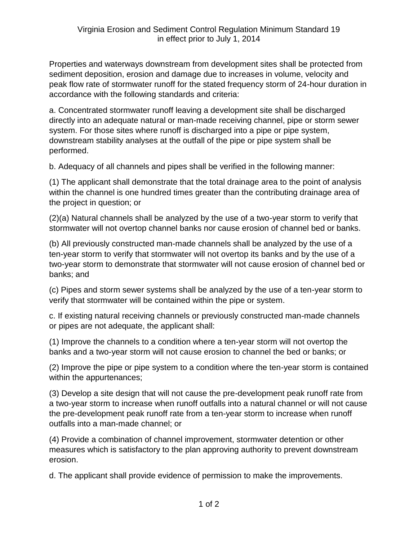Properties and waterways downstream from development sites shall be protected from sediment deposition, erosion and damage due to increases in volume, velocity and peak flow rate of stormwater runoff for the stated frequency storm of 24-hour duration in accordance with the following standards and criteria:

a. Concentrated stormwater runoff leaving a development site shall be discharged directly into an adequate natural or man-made receiving channel, pipe or storm sewer system. For those sites where runoff is discharged into a pipe or pipe system, downstream stability analyses at the outfall of the pipe or pipe system shall be performed.

b. Adequacy of all channels and pipes shall be verified in the following manner:

(1) The applicant shall demonstrate that the total drainage area to the point of analysis within the channel is one hundred times greater than the contributing drainage area of the project in question; or

(2)(a) Natural channels shall be analyzed by the use of a two-year storm to verify that stormwater will not overtop channel banks nor cause erosion of channel bed or banks.

(b) All previously constructed man-made channels shall be analyzed by the use of a ten-year storm to verify that stormwater will not overtop its banks and by the use of a two-year storm to demonstrate that stormwater will not cause erosion of channel bed or banks; and

(c) Pipes and storm sewer systems shall be analyzed by the use of a ten-year storm to verify that stormwater will be contained within the pipe or system.

c. If existing natural receiving channels or previously constructed man-made channels or pipes are not adequate, the applicant shall:

(1) Improve the channels to a condition where a ten-year storm will not overtop the banks and a two-year storm will not cause erosion to channel the bed or banks; or

(2) Improve the pipe or pipe system to a condition where the ten-year storm is contained within the appurtenances;

(3) Develop a site design that will not cause the pre-development peak runoff rate from a two-year storm to increase when runoff outfalls into a natural channel or will not cause the pre-development peak runoff rate from a ten-year storm to increase when runoff outfalls into a man-made channel; or

(4) Provide a combination of channel improvement, stormwater detention or other measures which is satisfactory to the plan approving authority to prevent downstream erosion.

d. The applicant shall provide evidence of permission to make the improvements.